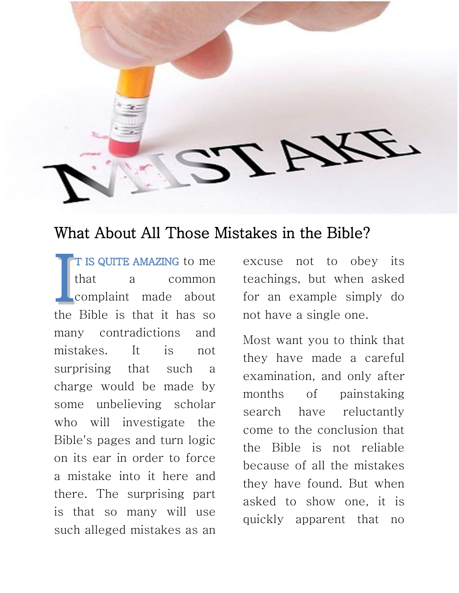

## What About All Those Mistakes in the Bible?

T IS QUITE AMAZING to me that a common complaint made about the Bible is that it has so many contradictions and mistakes. It is not surprising that such a charge would be made by some unbelieving scholar who will investigate the Bible's pages and turn logic on its ear in order to force a mistake into it here and there. The surprising part is that so many will use such alleged mistakes as an I

excuse not to obey its teachings, but when asked for an example simply do not have a single one.

Most want you to think that they have made a careful examination, and only after months of painstaking search have reluctantly come to the conclusion that the Bible is not reliable because of all the mistakes they have found. But when asked to show one, it is quickly apparent that no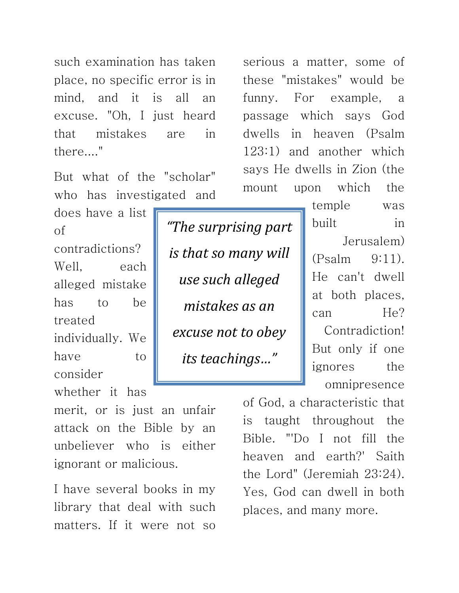such examination has taken place, no specific error is in mind, and it is all an excuse. "Oh, I just heard that mistakes are in there...."

But what of the "scholar" who has investigated and

does have a list of contradictions? Well, each alleged mistake has to be treated individually. We have to consider

whether it has

merit, or is just an unfair attack on the Bible by an unbeliever who is either ignorant or malicious.

I have several books in my library that deal with such matters. If it were not so

*"The surprising part is that so many will use such alleged mistakes as an excuse not to obey its teachings…"*

serious a matter, some of these "mistakes" would be funny. For example, a passage which says God dwells in heaven (Psalm 123:1) and another which says He dwells in Zion (the mount upon which the

> temple was built in Jerusalem) (Psalm 9:11). He can't dwell at both places, can He? Contradiction! But only if one ignores the omnipresence

of God, a characteristic that is taught throughout the Bible. "'Do I not fill the heaven and earth?' Saith the Lord" (Jeremiah 23:24). Yes, God can dwell in both places, and many more.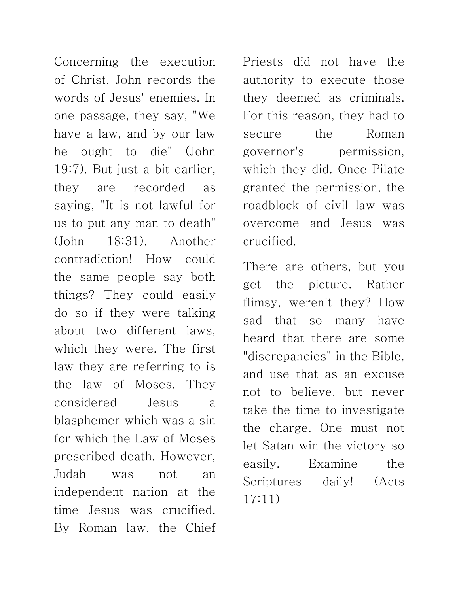Concerning the execution of Christ, John records the words of Jesus' enemies. In one passage, they say, "We have a law, and by our law he ought to die" (John 19:7). But just a bit earlier, they are recorded as saying, "It is not lawful for us to put any man to death" (John 18:31). Another contradiction! How could the same people say both things? They could easily do so if they were talking about two different laws, which they were. The first law they are referring to is the law of Moses. They considered Jesus a blasphemer which was a sin for which the Law of Moses prescribed death. However, Judah was not an independent nation at the time Jesus was crucified. By Roman law, the Chief

Priests did not have the authority to execute those they deemed as criminals. For this reason, they had to secure the Roman governor's permission, which they did. Once Pilate granted the permission, the roadblock of civil law was overcome and Jesus was crucified.

There are others, but you get the picture. Rather flimsy, weren't they? How sad that so many have heard that there are some "discrepancies" in the Bible, and use that as an excuse not to believe, but never take the time to investigate the charge. One must not let Satan win the victory so easily. Examine the Scriptures daily! (Acts 17:11)